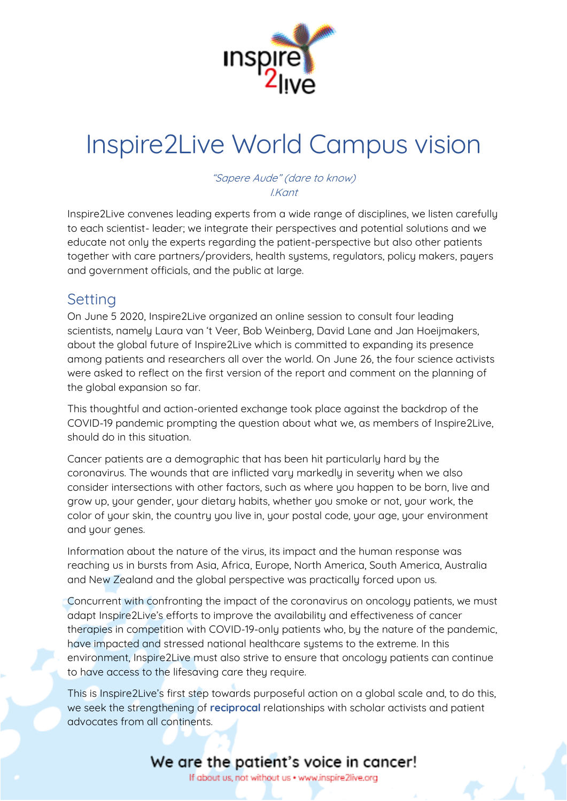

# Inspire2Live World Campus vision

"Sapere Aude" (dare to know) I.Kant

Inspire2Live convenes leading experts from a wide range of disciplines, we listen carefully to each scientist- leader; we integrate their perspectives and potential solutions and we educate not only the experts regarding the patient-perspective but also other patients together with care partners/providers, health systems, regulators, policy makers, payers and government officials, and the public at large.

### **Setting**

On June 5 2020, Inspire2Live organized an online session to consult four leading scientists, namely Laura van 't Veer, Bob Weinberg, David Lane and Jan Hoeijmakers, about the global future of Inspire2Live which is committed to expanding its presence among patients and researchers all over the world. On June 26, the four science activists were asked to reflect on the first version of the report and comment on the planning of the global expansion so far.

This thoughtful and action-oriented exchange took place against the backdrop of the COVID-19 pandemic prompting the question about what we, as members of Inspire2Live, should do in this situation.

Cancer patients are a demographic that has been hit particularly hard by the coronavirus. The wounds that are inflicted vary markedly in severity when we also consider intersections with other factors, such as where you happen to be born, live and grow up, your gender, your dietary habits, whether you smoke or not, your work, the color of your skin, the country you live in, your postal code, your age, your environment and your genes.

Information about the nature of the virus, its impact and the human response was reaching us in bursts from Asia, Africa, Europe, North America, South America, Australia and New Zealand and the global perspective was practically forced upon us.

Concurrent with confronting the impact of the coronavirus on oncology patients, we must adapt Inspire2Live's efforts to improve the availability and effectiveness of cancer therapies in competition with COVID-19-only patients who, by the nature of the pandemic, have impacted and stressed national healthcare systems to the extreme. In this environment, Inspire2Live must also strive to ensure that oncology patients can continue to have access to the lifesaving care they require.

This is Inspire2Live's first step towards purposeful action on a global scale and, to do this, we seek the strengthening of **reciprocal** relationships with scholar activists and patient advocates from all continents.

We are the patient's voice in cancer! If about us, not without us . www.inspire2live.org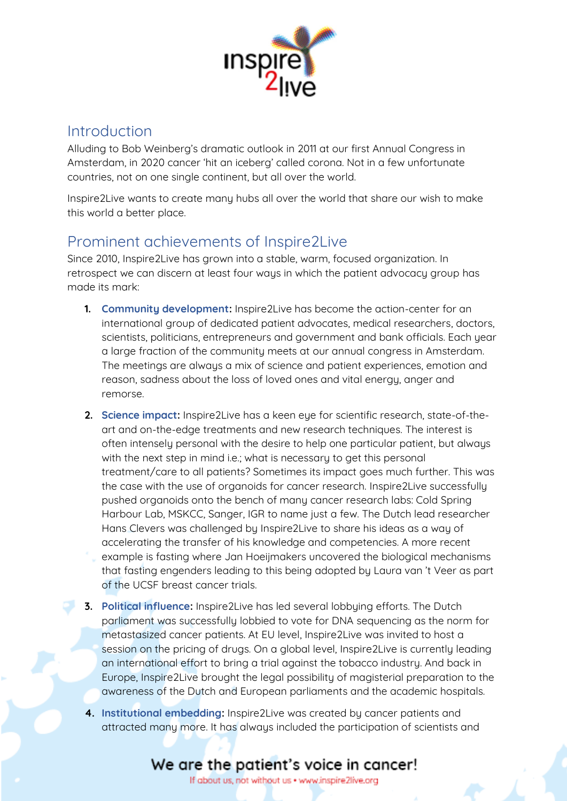

#### Introduction

Alluding to Bob Weinberg's dramatic outlook in 2011 at our first Annual Congress in Amsterdam, in 2020 cancer 'hit an iceberg' called corona. Not in a few unfortunate countries, not on one single continent, but all over the world.

Inspire2Live wants to create many hubs all over the world that share our wish to make this world a better place.

### Prominent achievements of Inspire2Live

Since 2010, Inspire2Live has grown into a stable, warm, focused organization. In retrospect we can discern at least four ways in which the patient advocacy group has made its mark:

- **1. Community development:** Inspire2Live has become the action-center for an international group of dedicated patient advocates, medical researchers, doctors, scientists, politicians, entrepreneurs and government and bank officials. Each year a large fraction of the community meets at our annual congress in Amsterdam. The meetings are always a mix of science and patient experiences, emotion and reason, sadness about the loss of loved ones and vital energy, anger and remorse.
- **2. Science impact:** Inspire2Live has a keen eye for scientific research, state-of-theart and on-the-edge treatments and new research techniques. The interest is often intensely personal with the desire to help one particular patient, but always with the next step in mind i.e.; what is necessary to get this personal treatment/care to all patients? Sometimes its impact goes much further. This was the case with the use of organoids for cancer research. Inspire2Live successfully pushed organoids onto the bench of many cancer research labs: Cold Spring Harbour Lab, MSKCC, Sanger, IGR to name just a few. The Dutch lead researcher Hans Clevers was challenged by Inspire2Live to share his ideas as a way of accelerating the transfer of his knowledge and competencies. A more recent example is fasting where Jan Hoeijmakers uncovered the biological mechanisms that fasting engenders leading to this being adopted by Laura van 't Veer as part of the UCSF breast cancer trials.
- **3. Political influence:** Inspire2Live has led several lobbying efforts. The Dutch parliament was successfully lobbied to vote for DNA sequencing as the norm for metastasized cancer patients. At EU level, Inspire2Live was invited to host a session on the pricing of drugs. On a global level, Inspire2Live is currently leading an international effort to bring a trial against the tobacco industry. And back in Europe, Inspire2Live brought the legal possibility of magisterial preparation to the awareness of the Dutch and European parliaments and the academic hospitals.
- **4. Institutional embedding:** Inspire2Live was created by cancer patients and attracted many more. It has always included the participation of scientists and

# We are the patient's voice in cancer!

If about us, not without us . www.inspire2live.org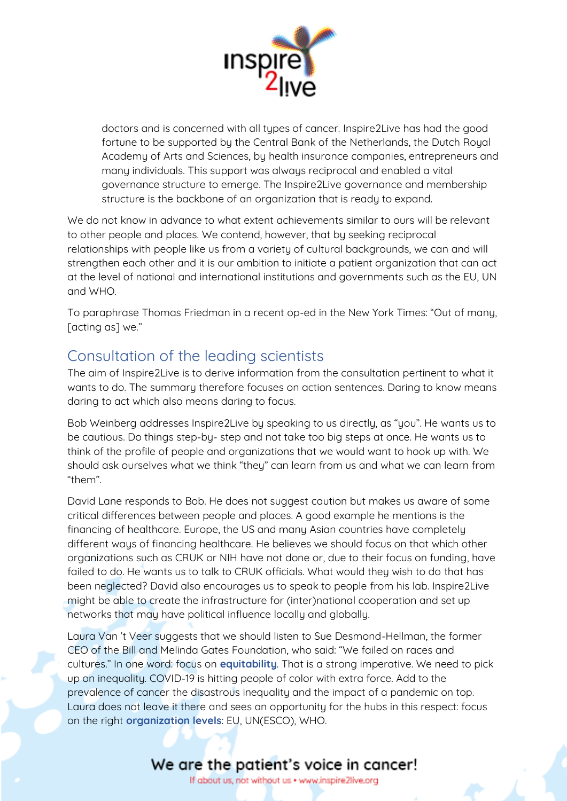

doctors and is concerned with all types of cancer. Inspire2Live has had the good fortune to be supported by the Central Bank of the Netherlands, the Dutch Royal Academy of Arts and Sciences, by health insurance companies, entrepreneurs and many individuals. This support was always reciprocal and enabled a vital governance structure to emerge. The Inspire2Live governance and membership structure is the backbone of an organization that is ready to expand.

We do not know in advance to what extent achievements similar to ours will be relevant to other people and places. We contend, however, that by seeking reciprocal relationships with people like us from a variety of cultural backgrounds, we can and will strengthen each other and it is our ambition to initiate a patient organization that can act at the level of national and international institutions and governments such as the EU, UN and WHO.

To paraphrase Thomas Friedman in a recent op-ed in the New York Times: "Out of many, [acting as] we."

### Consultation of the leading scientists

The aim of Inspire2Live is to derive information from the consultation pertinent to what it wants to do. The summary therefore focuses on action sentences. Daring to know means daring to act which also means daring to focus.

Bob Weinberg addresses Inspire2Live by speaking to us directly, as "you". He wants us to be cautious. Do things step-by- step and not take too big steps at once. He wants us to think of the profile of people and organizations that we would want to hook up with. We should ask ourselves what we think "they" can learn from us and what we can learn from "them".

David Lane responds to Bob. He does not suggest caution but makes us aware of some critical differences between people and places. A good example he mentions is the financing of healthcare. Europe, the US and many Asian countries have completely different ways of financing healthcare. He believes we should focus on that which other organizations such as CRUK or NIH have not done or, due to their focus on funding, have failed to do. He wants us to talk to CRUK officials. What would they wish to do that has been neglected? David also encourages us to speak to people from his lab. Inspire2Live might be able to create the infrastructure for (inter)national cooperation and set up networks that may have political influence locally and globally.

Laura Van 't Veer suggests that we should listen to Sue Desmond-Hellman, the former CEO of the Bill and Melinda Gates Foundation, who said: "We failed on races and cultures." In one word: focus on **equitability**. That is a strong imperative. We need to pick up on inequality. COVID-19 is hitting people of color with extra force. Add to the prevalence of cancer the disastrous inequality and the impact of a pandemic on top. Laura does not leave it there and sees an opportunity for the hubs in this respect: focus on the right **organization levels**: EU, UN(ESCO), WHO.

If about us, not without us . www.inspire2live.org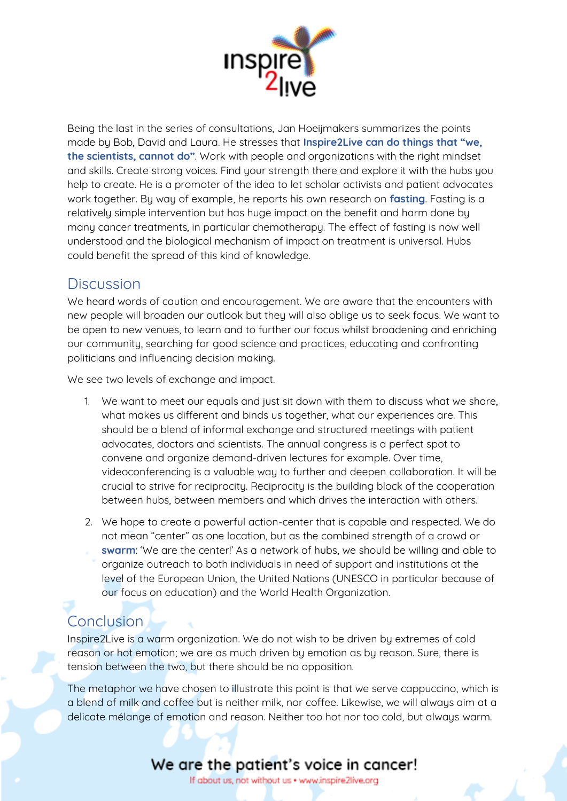

Being the last in the series of consultations, Jan Hoeijmakers summarizes the points made by Bob, David and Laura. He stresses that **Inspire2Live can do things that "we, the scientists, cannot do"**. Work with people and organizations with the right mindset and skills. Create strong voices. Find your strength there and explore it with the hubs you help to create. He is a promoter of the idea to let scholar activists and patient advocates work together. By way of example, he reports his own research on **fasting**. Fasting is a relatively simple intervention but has huge impact on the benefit and harm done by many cancer treatments, in particular chemotherapy. The effect of fasting is now well understood and the biological mechanism of impact on treatment is universal. Hubs could benefit the spread of this kind of knowledge.

### **Discussion**

We heard words of caution and encouragement. We are aware that the encounters with new people will broaden our outlook but they will also oblige us to seek focus. We want to be open to new venues, to learn and to further our focus whilst broadening and enriching our community, searching for good science and practices, educating and confronting politicians and influencing decision making.

We see two levels of exchange and impact.

- 1. We want to meet our equals and just sit down with them to discuss what we share, what makes us different and binds us together, what our experiences are. This should be a blend of informal exchange and structured meetings with patient advocates, doctors and scientists. The annual congress is a perfect spot to convene and organize demand-driven lectures for example. Over time, videoconferencing is a valuable way to further and deepen collaboration. It will be crucial to strive for reciprocity. Reciprocity is the building block of the cooperation between hubs, between members and which drives the interaction with others.
- 2. We hope to create a powerful action-center that is capable and respected. We do not mean "center" as one location, but as the combined strength of a crowd or **swarm**: 'We are the center!' As a network of hubs, we should be willing and able to organize outreach to both individuals in need of support and institutions at the level of the European Union, the United Nations (UNESCO in particular because of our focus on education) and the World Health Organization.

# **Conclusion**

Inspire2Live is a warm organization. We do not wish to be driven by extremes of cold reason or hot emotion; we are as much driven by emotion as by reason. Sure, there is tension between the two, but there should be no opposition.

The metaphor we have chosen to illustrate this point is that we serve cappuccino, which is a blend of milk and coffee but is neither milk, nor coffee. Likewise, we will always aim at a delicate mélange of emotion and reason. Neither too hot nor too cold, but always warm.